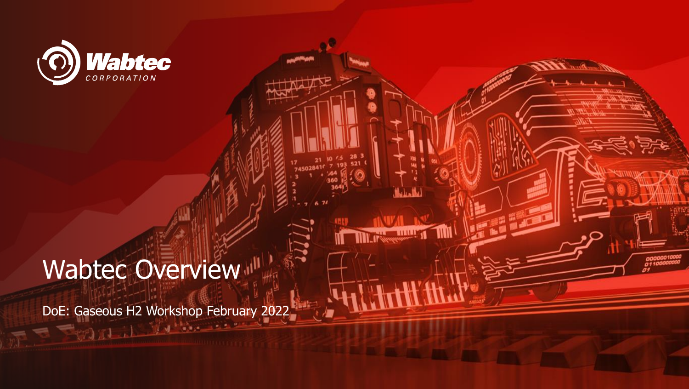

## Wabtec Overview<sup>III</sup>

 $r1$   $\sqrt{4}$ 

DoE: Gaseous H2 Workshop February 2022

The Thuman Till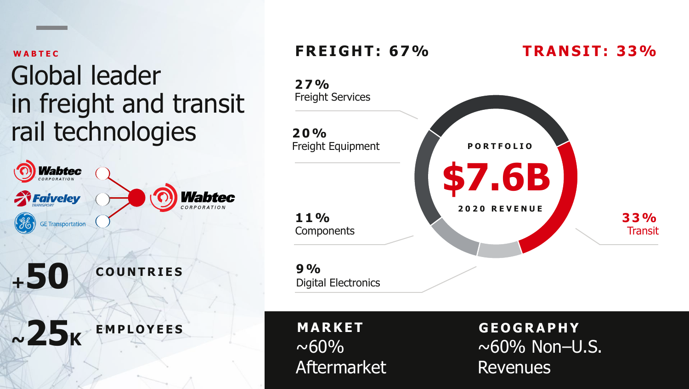**W A B T E C** 

## Global leader in freight and transit rail technologies



#### **F RE I GH T : 67%**



**M A R K E T**   $~100\%$ Aftermarket

**G E O G R A P H Y**   $~\sim$  60% Non-U.S. Revenues

**T RAN S I T : 33%**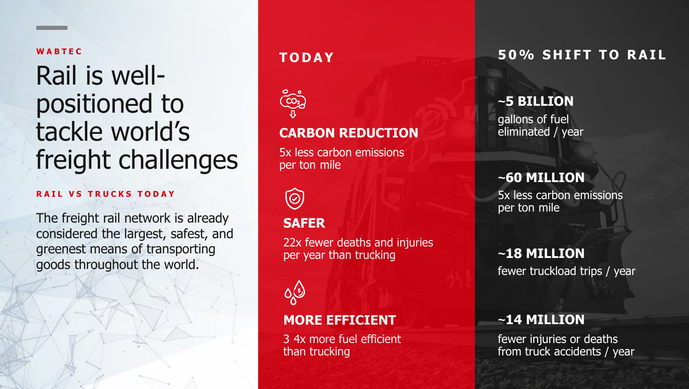#### **W A B T E C**

## Rail is wellpositioned to tackle world's freight challenges

#### **RAIL VS TRUCKS TODAY**

The freight rail network is already considered the largest, safest, and greenest means of transporting goods throughout the world.



#### **CARBON REDUCTION**

 5x less carbon emissions per ton mile



#### **SAFER**

22x fewer deaths and injuries per year than trucking



#### **MORE EFFICIENT**

- 3 4x more fuel efficient than trucking

#### **TODAY 6 2008 2009 50% SHIFT TO RAIL**

#### **~5 BILLION**

 gallons of fuel eliminated / year

#### **~60 MILLION**

 5x less carbon emissions per ton mile

#### **~18 MILLION**

fewer truckload trips / year

#### **~14 MILLION**

fewer injuries or deaths from truck accidents / year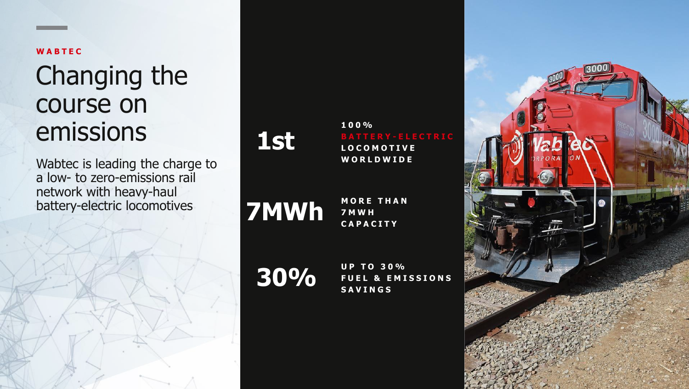#### **W A B T E C**

### Changing the course on emissions

Wabtec is leading the charge to a low- to zero-emissions rail network with heavy-haul battery-electric locomotives



**100% L O C O M O T I V E W O R L D W I D E** 

**7 MWh MORE** 

**M O R E T H A N C A P A C I T Y** 

**30%** 

 **U P T O 3 0 % FUEL & EMISSIONS S A V I N G S** 

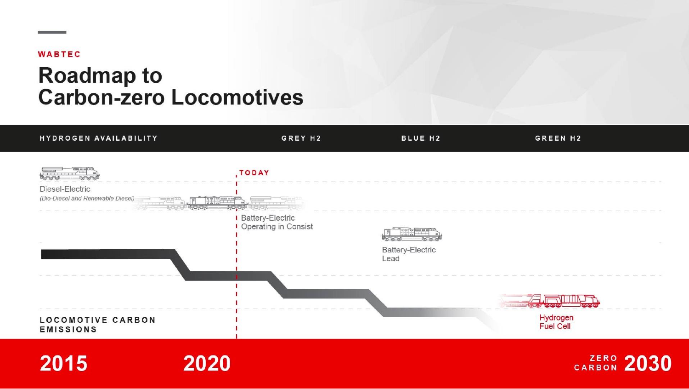#### **WABTEC**

### **Roadmap to Carbon-zero Locomotives**

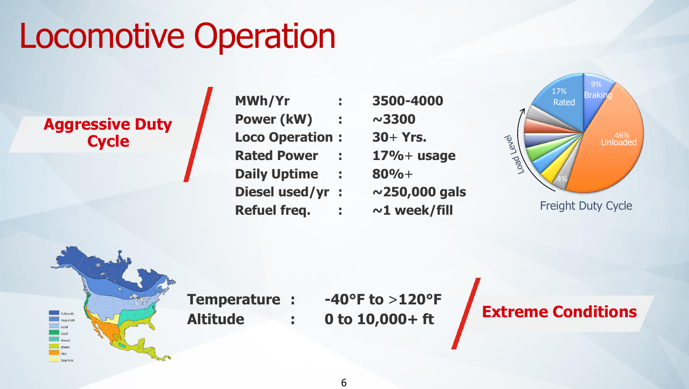## Locomotive Operation

#### **Aggressive Duty Cycle**

- **MWh/Yr Power (kW) : ~3300 Loco Operation : 30**+ **Yrs. Rated Power : 17%**+ **usage Daily Uptime : 80%**+ **Diesel used/yr : ~250,000 gals Refuel freq. : ~1 week/fill** 
	- **: 3500-4000**



Freight Duty Cycle



**Temperature :** 

 $-40^{\circ}$ F to  $>120^{\circ}$ F **Altitude : 0 to 10,000+ ft** 

### **Extreme Conditions**